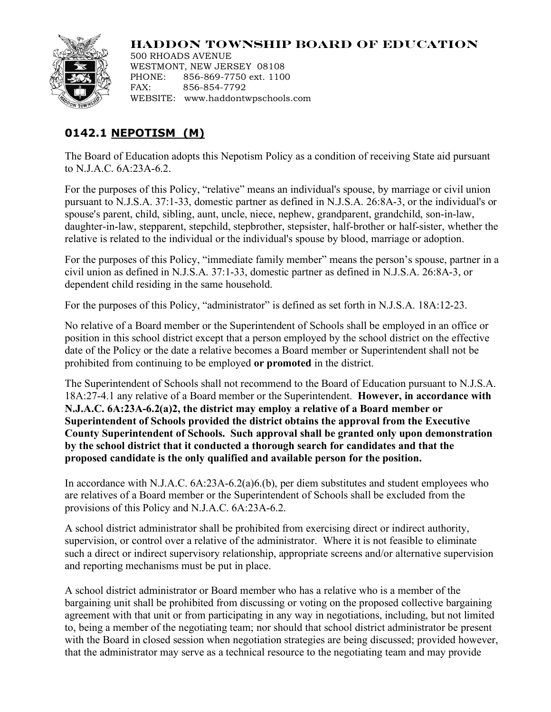

## **HADDON TOWNSHIP BOARD OF EDUCATION**

500 RHOADS AVENUE WESTMONT, NEW JERSEY 08108 PHONE: 856-869-7750 ext. 1100 FAX: 856-854-7792 WEBSITE: www.haddontwpschools.com

## **0142.1 NEPOTISM (M)**

The Board of Education adopts this Nepotism Policy as a condition of receiving State aid pursuant to N.J.A.C. 6A:23A-6.2.

For the purposes of this Policy, "relative" means an individual's spouse, by marriage or civil union pursuant to N.J.S.A. 37:1-33, domestic partner as defined in N.J.S.A. 26:8A-3, or the individual's or spouse's parent, child, sibling, aunt, uncle, niece, nephew, grandparent, grandchild, son-in-law, daughter-in-law, stepparent, stepchild, stepbrother, stepsister, half-brother or half-sister, whether the relative is related to the individual or the individual's spouse by blood, marriage or adoption.

For the purposes of this Policy, "immediate family member" means the person's spouse, partner in a civil union as defined in N.J.S.A. 37:1-33, domestic partner as defined in N.J.S.A. 26:8A-3, or dependent child residing in the same household.

For the purposes of this Policy, "administrator" is defined as set forth in N.J.S.A. 18A:12-23.

No relative of a Board member or the Superintendent of Schools shall be employed in an office or position in this school district except that a person employed by the school district on the effective date of the Policy or the date a relative becomes a Board member or Superintendent shall not be prohibited from continuing to be employed **or promoted** in the district.

The Superintendent of Schools shall not recommend to the Board of Education pursuant to N.J.S.A. 18A:27-4.1 any relative of a Board member or the Superintendent. **However, in accordance with N.J.A.C. 6A:23A-6.2(a)2, the district may employ a relative of a Board member or Superintendent of Schools provided the district obtains the approval from the Executive County Superintendent of Schools. Such approval shall be granted only upon demonstration by the school district that it conducted a thorough search for candidates and that the proposed candidate is the only qualified and available person for the position.**

In accordance with N.J.A.C. 6A:23A-6.2(a)6.(b), per diem substitutes and student employees who are relatives of a Board member or the Superintendent of Schools shall be excluded from the provisions of this Policy and N.J.A.C. 6A:23A-6.2.

A school district administrator shall be prohibited from exercising direct or indirect authority, supervision, or control over a relative of the administrator. Where it is not feasible to eliminate such a direct or indirect supervisory relationship, appropriate screens and/or alternative supervision and reporting mechanisms must be put in place.

A school district administrator or Board member who has a relative who is a member of the bargaining unit shall be prohibited from discussing or voting on the proposed collective bargaining agreement with that unit or from participating in any way in negotiations, including, but not limited to, being a member of the negotiating team; nor should that school district administrator be present with the Board in closed session when negotiation strategies are being discussed; provided however, that the administrator may serve as a technical resource to the negotiating team and may provide